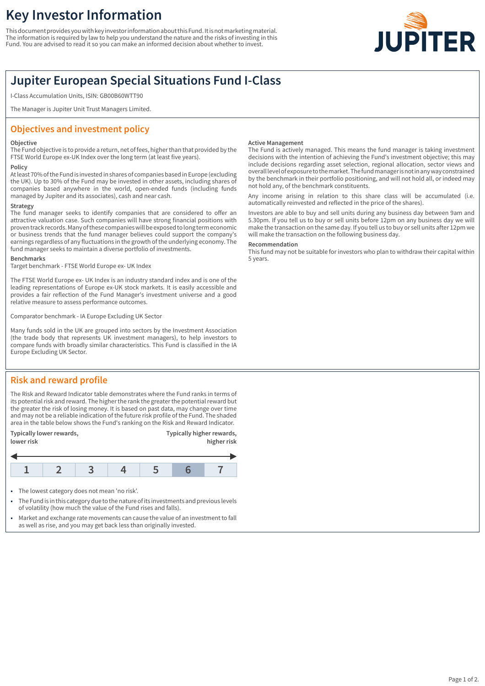# **Key Investor Information**

This document provides you with key investor information about this Fund. It is not marketing material. The information is required by law to help you understand the nature and the risks of investing in this Fund. You are advised to read it so you can make an informed decision about whether to invest.



## **Jupiter European Special Situations Fund I-Class**

I-Class Accumulation Units, ISIN: GB00B60WTT90

The Manager is Jupiter Unit Trust Managers Limited.

## **Objectives and investment policy**

#### **Objective**

The Fund objective is to provide a return, net of fees, higher than that provided by the FTSE World Europe ex-UK Index over the long term (at least five years).

#### **Policy**

At least 70% of the Fund is invested in shares of companies based in Europe (excluding the UK). Up to 30% of the Fund may be invested in other assets, including shares of companies based anywhere in the world, open-ended funds (including funds managed by Jupiter and its associates), cash and near cash.

#### **Strategy**

The fund manager seeks to identify companies that are considered to offer an attractive valuation case. Such companies will have strong financial positions with proven track records. Many of these companies will be exposed to long term economic or business trends that the fund manager believes could support the company's earnings regardless of any fluctuations in the growth of the underlying economy. The fund manager seeks to maintain a diverse portfolio of investments.

#### **Benchmarks**

Target benchmark - FTSE World Europe ex- UK Index

The FTSE World Europe ex- UK Index is an industry standard index and is one of the leading representations of Europe ex-UK stock markets. It is easily accessible and provides a fair reflection of the Fund Manager's investment universe and a good relative measure to assess performance outcomes.

Comparator benchmark - IA Europe Excluding UK Sector

Many funds sold in the UK are grouped into sectors by the Investment Association (the trade body that represents UK investment managers), to help investors to compare funds with broadly similar characteristics. This Fund is classified in the IA Europe Excluding UK Sector.

#### **Active Management**

The Fund is actively managed. This means the fund manager is taking investment decisions with the intention of achieving the Fund's investment objective; this may include decisions regarding asset selection, regional allocation, sector views and overall level of exposure to the market. The fund manager is not in any way constrained by the benchmark in their portfolio positioning, and will not hold all, or indeed may not hold any, of the benchmark constituents.

Any income arising in relation to this share class will be accumulated (i.e. automatically reinvested and reflected in the price of the shares).

Investors are able to buy and sell units during any business day between 9am and 5.30pm. If you tell us to buy or sell units before 12pm on any business day we will make the transaction on the same day. If you tell us to buy or sell units after 12pm we will make the transaction on the following business day.

#### **Recommendation**

This fund may not be suitable for investors who plan to withdraw their capital within 5 years.

## **Risk and reward profile**

The Risk and Reward Indicator table demonstrates where the Fund ranks in terms of its potential risk and reward. The higher the rank the greater the potential reward but the greater the risk of losing money. It is based on past data, may change over time and may not be a reliable indication of the future risk profile of the Fund. The shaded area in the table below shows the Fund's ranking on the Risk and Reward Indicator.





- 1 The lowest category does not mean 'no risk'.
- 1 The Fund is in this category due to the nature of its investments and previous levels of volatility (how much the value of the Fund rises and falls).
- Market and exchange rate movements can cause the value of an investment to fall as well as rise, and you may get back less than originally invested.